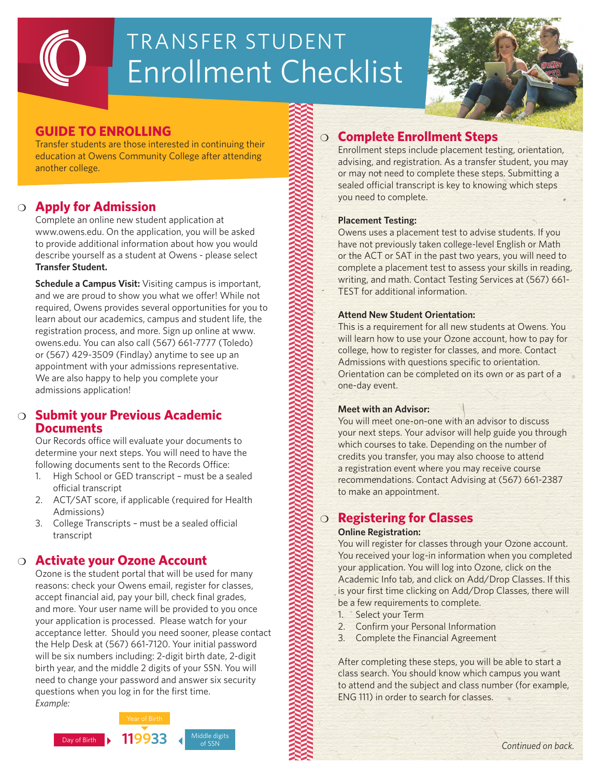# Enrollment Checklist TRANSFER STUDENT



# **GUIDE TO ENROLLING**

Transfer students are those interested in continuing their education at Owens Community College after attending another college.

# m **Apply for Admission**

Complete an online new student application at www.owens.edu. On the application, you will be asked to provide additional information about how you would describe yourself as a student at Owens - please select **Transfer Student.** 

**Schedule a Campus Visit:** Visiting campus is important, and we are proud to show you what we offer! While not required, Owens provides several opportunities for you to learn about our academics, campus and student life, the registration process, and more. Sign up online at www. owens.edu. You can also call (567) 661-7777 (Toledo) or (567) 429-3509 (Findlay) anytime to see up an appointment with your admissions representative. We are also happy to help you complete your admissions application!

## **Submit your Previous Academic Documents**

Our Records office will evaluate your documents to determine your next steps. You will need to have the following documents sent to the Records Office:

- 1. High School or GED transcript must be a sealed official transcript
- 2. ACT/SAT score, if applicable (required for Health Admissions)
- 3. College Transcripts must be a sealed official transcript

## **s** Activate your Ozone Account

Ozone is the student portal that will be used for many reasons: check your Owens email, register for classes, accept financial aid, pay your bill, check final grades, and more. Your user name will be provided to you once your application is processed. Please watch for your acceptance letter. Should you need sooner, please contact the Help Desk at (567) 661-7120. Your initial password will be six numbers including: 2-digit birth date, 2-digit birth year, and the middle 2 digits of your SSN. You will need to change your password and answer six security questions when you log in for the first time. *Example:*



# m **Complete Enrollment Steps**

Enrollment steps include placement testing, orientation, advising, and registration. As a transfer student, you may or may not need to complete these steps. Submitting a sealed official transcript is key to knowing which steps you need to complete.

#### **Placement Testing:**

Owens uses a placement test to advise students. If you have not previously taken college-level English or Math or the ACT or SAT in the past two years, you will need to complete a placement test to assess your skills in reading, writing, and math. Contact Testing Services at (567) 661- TEST for additional information.

#### **Attend New Student Orientation:**

This is a requirement for all new students at Owens. You will learn how to use your Ozone account, how to pay for college, how to register for classes, and more. Contact Admissions with questions specific to orientation. Orientation can be completed on its own or as part of a one-day event.

#### **Meet with an Advisor:**

You will meet one-on-one with an advisor to discuss your next steps. Your advisor will help guide you through which courses to take. Depending on the number of credits you transfer, you may also choose to attend a registration event where you may receive course recommendations. Contact Advising at (567) 661-2387 to make an appointment.

# m **Registering for Classes**

#### **Online Registration:**

You will register for classes through your Ozone account. You received your log-in information when you completed your application. You will log into Ozone, click on the Academic Info tab, and click on Add/Drop Classes. If this is your first time clicking on Add/Drop Classes, there will be a few requirements to complete.

- 1. Select your Term
- 2. Confirm your Personal Information
- 3. Complete the Financial Agreement

After completing these steps, you will be able to start a class search. You should know which campus you want to attend and the subject and class number (for example, ENG 111) in order to search for classes.